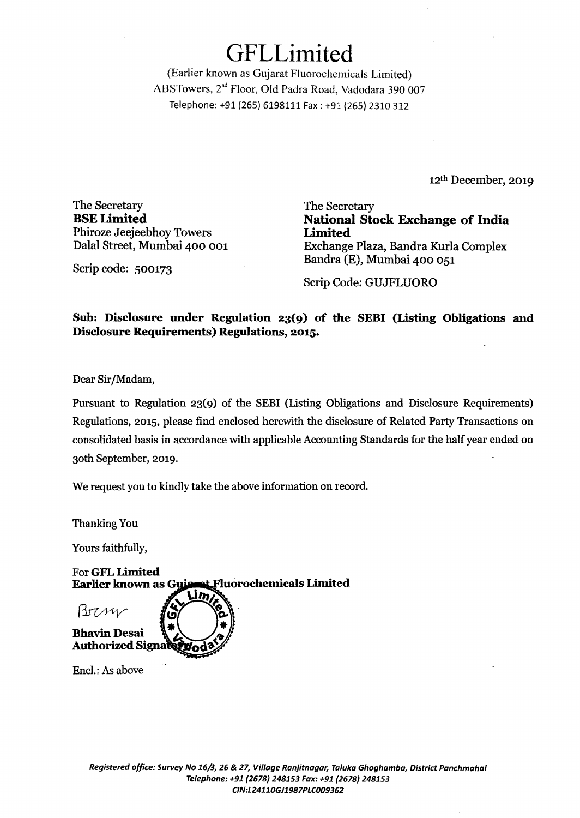# GFLLimited

(Earlier known as Gujarat Fluorochemicals Limited) ABS Towers, 2nd Floor, Old Padra Road, Vadodara 390 007 Telephone: +91 (265) 6198111 Fax: +91 (265) 2310 312

12th December, 2019

The Secretary **BSELimited**  Phiroze Jeejeebhoy Towers Dalal Street, Mumbai 400 001

The Secretary **National Stock Exchange of India Limited**  Exchange Plaza, Bandra Kurla Complex Bandra (E), Mumbai 400 051

Scrip code: 500173

Scrip Code: GUJFLUORO

**Sub: Disclosure under Regulation 23(9) of the SEBI (Listing Obligations and Disclosure Requirements) Regulations, 2015.** 

Dear Sir /Madam,

Pursuant to Regulation 23(9) of the SEBI (Listing Obligations and Disclosure Requirements) Regulations, 2015, please find enclosed herewith the disclosure of Related Party Transactions on consolidated basis in accordance with applicable Accounting Standards for the half year ended on 30th September, 2019.

We request you to kindly take the above information on record.

Thanking You

Yours faithfully,

For GFL Limited Earlier known as Guisset Fluorochemicals Limited

Brzni **Bhavin Desai Authorized Signal** 

Encl.: As above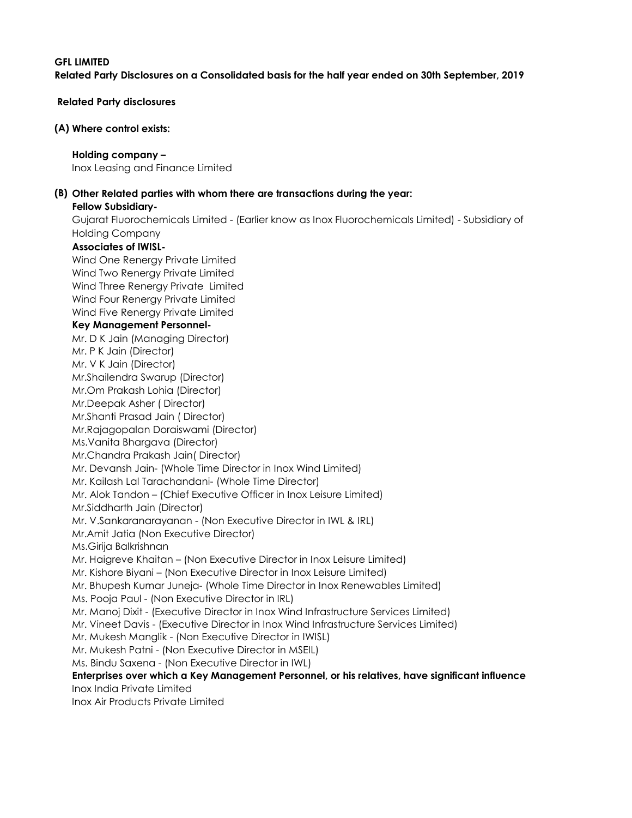# GFL LIMITED Related Party Disclosures on a Consolidated basis for the half year ended on 30th September, 2019

Related Party disclosures

#### (A) Where control exists:

#### Holding company –

Inox Leasing and Finance Limited

# (B) Other Related parties with whom there are transactions during the year:

### Fellow Subsidiary-

Gujarat Fluorochemicals Limited - (Earlier know as Inox Fluorochemicals Limited) - Subsidiary of Holding Company

## Associates of IWISL-

Wind One Renergy Private Limited Wind Two Renergy Private Limited Wind Three Renergy Private Limited Wind Four Renergy Private Limited Wind Five Renergy Private Limited Key Management Personnel-Mr. D K Jain (Managing Director) Mr. P K Jain (Director) Mr. V K Jain (Director) Mr.Shailendra Swarup (Director) Mr.Om Prakash Lohia (Director) Mr.Deepak Asher ( Director) Mr.Shanti Prasad Jain ( Director) Mr.Rajagopalan Doraiswami (Director) Ms.Vanita Bhargava (Director) Mr.Chandra Prakash Jain( Director) Mr. Devansh Jain- (Whole Time Director in Inox Wind Limited) Mr. Kailash Lal Tarachandani- (Whole Time Director) Mr. Alok Tandon – (Chief Executive Officer in Inox Leisure Limited) Mr.Siddharth Jain (Director) Mr. V.Sankaranarayanan - (Non Executive Director in IWL & IRL) Mr.Amit Jatia (Non Executive Director) Ms.Girija Balkrishnan Mr. Haigreve Khaitan – (Non Executive Director in Inox Leisure Limited) Mr. Kishore Biyani – (Non Executive Director in Inox Leisure Limited) Mr. Bhupesh Kumar Juneja- (Whole Time Director in Inox Renewables Limited) Ms. Pooja Paul - (Non Executive Director in IRL) Mr. Manoj Dixit - (Executive Director in Inox Wind Infrastructure Services Limited) Mr. Vineet Davis - (Executive Director in Inox Wind Infrastructure Services Limited) Mr. Mukesh Manglik - (Non Executive Director in IWISL) Mr. Mukesh Patni - (Non Executive Director in MSEIL) Ms. Bindu Saxena - (Non Executive Director in IWL) Enterprises over which a Key Management Personnel, or his relatives, have significant influence Inox India Private Limited Inox Air Products Private Limited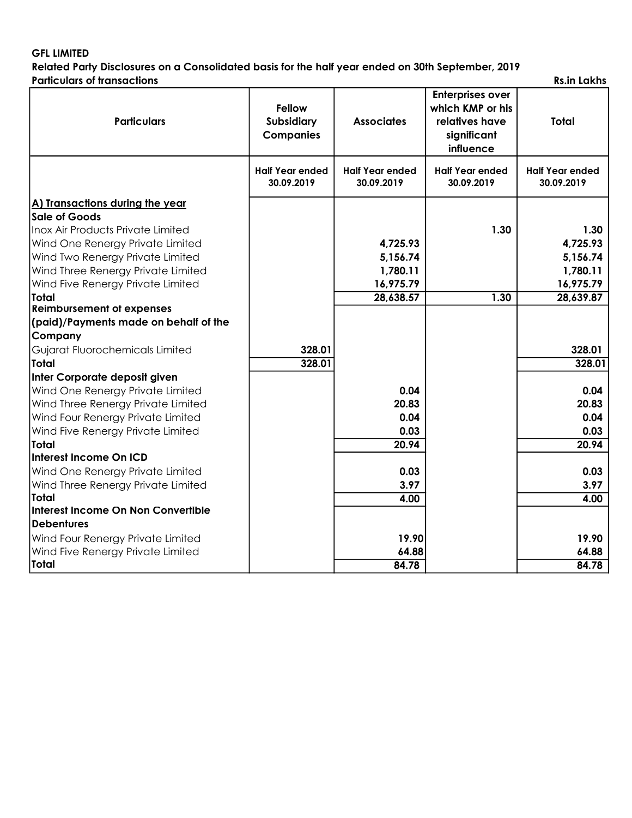# GFL LIMITED

Related Party Disclosures on a Consolidated basis for the half year ended on 30th September, 2019 Particulars of transactions **Rs.in Lakhs** Rs.in Lakhs

| <b>Particulars</b>                                                        | <b>Fellow</b><br><b>Subsidiary</b><br><b>Companies</b> | <b>Associates</b>                    | <b>Enterprises over</b><br>which KMP or his<br>relatives have<br>significant<br>influence | <b>Total</b>                         |
|---------------------------------------------------------------------------|--------------------------------------------------------|--------------------------------------|-------------------------------------------------------------------------------------------|--------------------------------------|
|                                                                           | <b>Half Year ended</b><br>30.09.2019                   | <b>Half Year ended</b><br>30.09.2019 | <b>Half Year ended</b><br>30.09.2019                                                      | <b>Half Year ended</b><br>30.09.2019 |
| A) Transactions during the year                                           |                                                        |                                      |                                                                                           |                                      |
| Sale of Goods                                                             |                                                        |                                      |                                                                                           |                                      |
| Inox Air Products Private Limited                                         |                                                        |                                      | 1.30                                                                                      | 1.30                                 |
| Wind One Renergy Private Limited                                          |                                                        | 4,725.93                             |                                                                                           | 4,725.93                             |
| Wind Two Renergy Private Limited                                          |                                                        | 5,156.74                             |                                                                                           | 5,156.74                             |
| Wind Three Renergy Private Limited                                        |                                                        | 1,780.11                             |                                                                                           | 1,780.11                             |
| Wind Five Renergy Private Limited                                         |                                                        | 16,975.79                            |                                                                                           | 16,975.79                            |
| <b>Total</b>                                                              |                                                        | 28,638.57                            | 1.30                                                                                      | 28,639.87                            |
| <b>Reimbursement of expenses</b><br>(paid)/Payments made on behalf of the |                                                        |                                      |                                                                                           |                                      |
| Company                                                                   |                                                        |                                      |                                                                                           |                                      |
| Gujarat Fluorochemicals Limited                                           | 328.01                                                 |                                      |                                                                                           | 328.01                               |
| <b>Total</b>                                                              | 328.01                                                 |                                      |                                                                                           | 328.01                               |
| Inter Corporate deposit given                                             |                                                        |                                      |                                                                                           |                                      |
| Wind One Renergy Private Limited                                          |                                                        | 0.04                                 |                                                                                           | 0.04                                 |
| Wind Three Renergy Private Limited                                        |                                                        | 20.83                                |                                                                                           | 20.83                                |
| Wind Four Renergy Private Limited                                         |                                                        | 0.04                                 |                                                                                           | 0.04                                 |
| Wind Five Renergy Private Limited                                         |                                                        | 0.03                                 |                                                                                           | 0.03                                 |
| <b>Total</b>                                                              |                                                        | $\overline{20.94}$                   |                                                                                           | 20.94                                |
| Interest Income On ICD                                                    |                                                        |                                      |                                                                                           |                                      |
| Wind One Renergy Private Limited                                          |                                                        | 0.03                                 |                                                                                           | 0.03                                 |
| Wind Three Renergy Private Limited                                        |                                                        | 3.97                                 |                                                                                           | 3.97                                 |
| <b>Total</b>                                                              |                                                        | 4.00                                 |                                                                                           | 4.00                                 |
| Interest Income On Non Convertible                                        |                                                        |                                      |                                                                                           |                                      |
| <b>IDebentures</b>                                                        |                                                        |                                      |                                                                                           |                                      |
| Wind Four Renergy Private Limited                                         |                                                        | 19.90                                |                                                                                           | 19.90                                |
| Wind Five Renergy Private Limited                                         |                                                        | 64.88                                |                                                                                           | 64.88                                |
| Total                                                                     |                                                        | 84.78                                |                                                                                           | 84.78                                |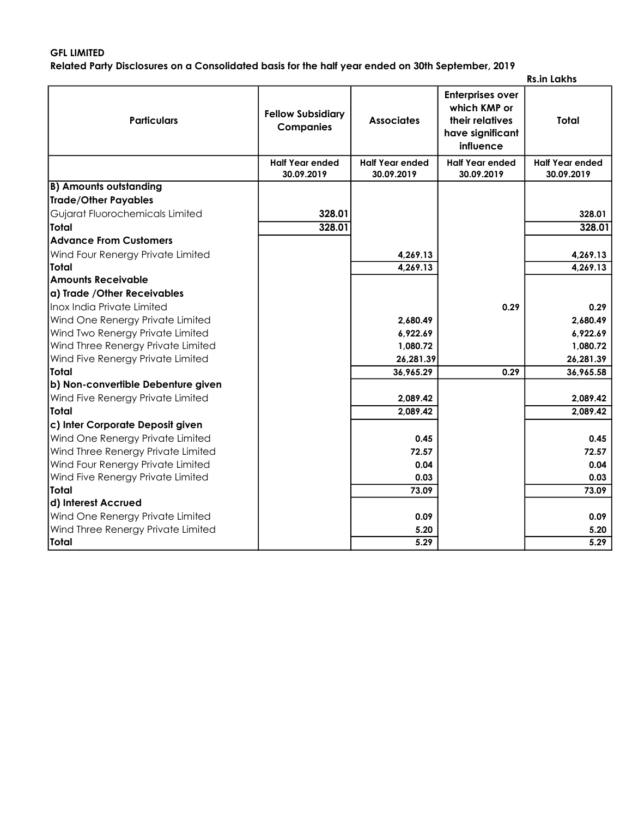# GFL LIMITED

Related Party Disclosures on a Consolidated basis for the half year ended on 30th September, 2019

|  | <b>Rs.in Lakhs</b> |
|--|--------------------|
|--|--------------------|

| <b>Particulars</b>                 | <b>Fellow Subsidiary</b><br><b>Companies</b> | <b>Associates</b>      | <b>Enterprises over</b><br>which KMP or<br>their relatives<br>have significant<br>influence | Total                  |
|------------------------------------|----------------------------------------------|------------------------|---------------------------------------------------------------------------------------------|------------------------|
|                                    | <b>Half Year ended</b>                       | <b>Half Year ended</b> | <b>Half Year ended</b>                                                                      | <b>Half Year ended</b> |
|                                    | 30.09.2019                                   | 30.09.2019             | 30.09.2019                                                                                  | 30.09.2019             |
| <b>B) Amounts outstanding</b>      |                                              |                        |                                                                                             |                        |
| Trade/Other Payables               |                                              |                        |                                                                                             |                        |
| Gujarat Fluorochemicals Limited    | 328.01                                       |                        |                                                                                             | 328.01                 |
| Total                              | 328.01                                       |                        |                                                                                             | 328.01                 |
| <b>Advance From Customers</b>      |                                              |                        |                                                                                             |                        |
| Wind Four Renergy Private Limited  |                                              | 4,269.13               |                                                                                             | 4,269.13               |
| Total                              |                                              | 4,269.13               |                                                                                             | 4,269.13               |
| <b>Amounts Receivable</b>          |                                              |                        |                                                                                             |                        |
| a) Trade /Other Receivables        |                                              |                        |                                                                                             |                        |
| Inox India Private Limited         |                                              |                        | 0.29                                                                                        | 0.29                   |
| Wind One Renergy Private Limited   |                                              | 2,680.49               |                                                                                             | 2,680.49               |
| Wind Two Renergy Private Limited   |                                              | 6,922.69               |                                                                                             | 6,922.69               |
| Wind Three Renergy Private Limited |                                              | 1,080.72               |                                                                                             | 1,080.72               |
| Wind Five Renergy Private Limited  |                                              | 26,281.39              |                                                                                             | 26,281.39              |
| Total                              |                                              | 36,965.29              | 0.29                                                                                        | 36,965.58              |
| b) Non-convertible Debenture given |                                              |                        |                                                                                             |                        |
| Wind Five Renergy Private Limited  |                                              | 2,089.42               |                                                                                             | 2,089.42               |
| lTotal                             |                                              | 2,089.42               |                                                                                             | 2,089.42               |
| c) Inter Corporate Deposit given   |                                              |                        |                                                                                             |                        |
| Wind One Renergy Private Limited   |                                              | 0.45                   |                                                                                             | 0.45                   |
| Wind Three Renergy Private Limited |                                              | 72.57                  |                                                                                             | 72.57                  |
| Wind Four Renergy Private Limited  |                                              | 0.04                   |                                                                                             | 0.04                   |
| Wind Five Renergy Private Limited  |                                              | 0.03                   |                                                                                             | 0.03                   |
| Total                              |                                              | 73.09                  |                                                                                             | 73.09                  |
| d) Interest Accrued                |                                              |                        |                                                                                             |                        |
| Wind One Renergy Private Limited   |                                              | 0.09                   |                                                                                             | 0.09                   |
| Wind Three Renergy Private Limited |                                              | 5.20                   |                                                                                             | 5.20                   |
| Total                              |                                              | 5.29                   |                                                                                             | 5.29                   |